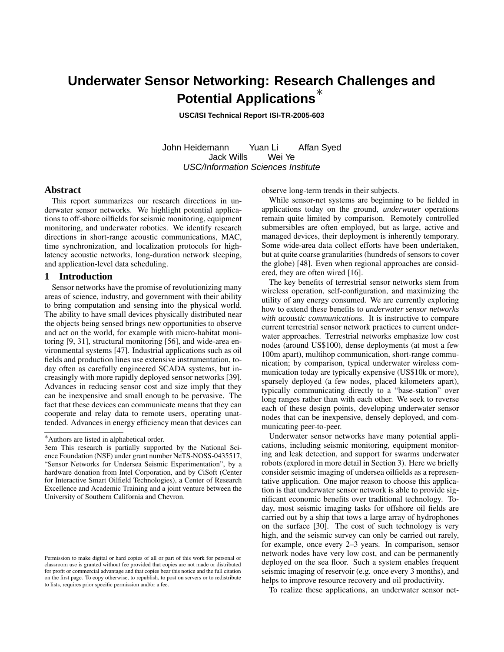# **Underwater Sensor Networking: Research Challenges and Potential Applications**<sup>∗</sup>

**USC/ISI Technical Report ISI-TR-2005-603**

John Heidemann Yuan Li Affan Syed Jack Wills Wei Ye USC/Information Sciences Institute

# **Abstract**

This report summarizes our research directions in underwater sensor networks. We highlight potential applications to off-shore oilfields for seismic monitoring, equipment monitoring, and underwater robotics. We identify research directions in short-range acoustic communications, MAC, time synchronization, and localization protocols for highlatency acoustic networks, long-duration network sleeping, and application-level data scheduling.

# **1 Introduction**

Sensor networks have the promise of revolutionizing many areas of science, industry, and government with their ability to bring computation and sensing into the physical world. The ability to have small devices physically distributed near the objects being sensed brings new opportunities to observe and act on the world, for example with micro-habitat monitoring [9, 31], structural monitoring [56], and wide-area environmental systems [47]. Industrial applications such as oil fields and production lines use extensive instrumentation, today often as carefully engineered SCADA systems, but increasingly with more rapidly deployed sensor networks [39]. Advances in reducing sensor cost and size imply that they can be inexpensive and small enough to be pervasive. The fact that these devices can communicate means that they can cooperate and relay data to remote users, operating unattended. Advances in energy efficiency mean that devices can observe long-term trends in their subjects.

While sensor-net systems are beginning to be fielded in applications today on the ground, *underwater* operations remain quite limited by comparison. Remotely controlled submersibles are often employed, but as large, active and managed devices, their deployment is inherently temporary. Some wide-area data collect efforts have been undertaken, but at quite coarse granularities (hundreds of sensors to cover the globe) [48]. Even when regional approaches are considered, they are often wired [16].

The key benefits of terrestrial sensor networks stem from wireless operation, self-configuration, and maximizing the utility of any energy consumed. We are currently exploring how to extend these benefits to *underwater sensor networks with acoustic communications*. It is instructive to compare current terrestrial sensor network practices to current underwater approaches. Terrestrial networks emphasize low cost nodes (around US\$100), dense deployments (at most a few 100m apart), multihop communication, short-range communication; by comparison, typical underwater wireless communication today are typically expensive (US\$10k or more), sparsely deployed (a few nodes, placed kilometers apart), typically communicating directly to a "base-station" over long ranges rather than with each other. We seek to reverse each of these design points, developing underwater sensor nodes that can be inexpensive, densely deployed, and communicating peer-to-peer.

Underwater sensor networks have many potential applications, including seismic monitoring, equipment monitoring and leak detection, and support for swarms underwater robots (explored in more detail in Section 3). Here we briefly consider seismic imaging of undersea oilfields as a representative application. One major reason to choose this application is that underwater sensor network is able to provide significant economic benefits over traditional technology. Today, most seismic imaging tasks for offshore oil fields are carried out by a ship that tows a large array of hydrophones on the surface [30]. The cost of such technology is very high, and the seismic survey can only be carried out rarely, for example, once every 2–3 years. In comparison, sensor network nodes have very low cost, and can be permanently deployed on the sea floor. Such a system enables frequent seismic imaging of reservoir (e.g. once every 3 months), and helps to improve resource recovery and oil productivity.

To realize these applications, an underwater sensor net-

<sup>∗</sup>Authors are listed in alphabetical order.

<sup>3</sup>em This research is partially supported by the National Science Foundation (NSF) under grant number NeTS-NOSS-0435517, "Sensor Networks for Undersea Seismic Experimentation", by a hardware donation from Intel Corporation, and by CiSoft (Center for Interactive Smart Oilfield Technologies), a Center of Research Excellence and Academic Training and a joint venture between the University of Southern California and Chevron.

Permission to make digital or hard copies of all or part of this work for personal or classroom use is granted without fee provided that copies are not made or distributed for profit or commercial advantage and that copies bear this notice and the full citation on the first page. To copy otherwise, to republish, to post on servers or to redistribute to lists, requires prior specific permission and/or a fee.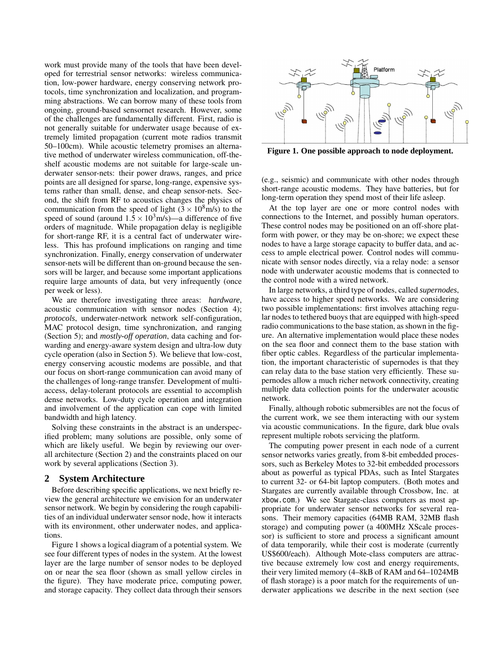work must provide many of the tools that have been developed for terrestrial sensor networks: wireless communication, low-power hardware, energy conserving network protocols, time synchronization and localization, and programming abstractions. We can borrow many of these tools from ongoing, ground-based sensornet research. However, some of the challenges are fundamentally different. First, radio is not generally suitable for underwater usage because of extremely limited propagation (current mote radios transmit 50–100cm). While acoustic telemetry promises an alternative method of underwater wireless communication, off-theshelf acoustic modems are not suitable for large-scale underwater sensor-nets: their power draws, ranges, and price points are all designed for sparse, long-range, expensive systems rather than small, dense, and cheap sensor-nets. Second, the shift from RF to acoustics changes the physics of communication from the speed of light  $(3 \times 10^8 \text{ m/s})$  to the speed of sound (around  $1.5 \times 10^3$  m/s)—a difference of five orders of magnitude. While propagation delay is negligible for short-range RF, it is a central fact of underwater wireless. This has profound implications on ranging and time synchronization. Finally, energy conservation of underwater sensor-nets will be different than on-ground because the sensors will be larger, and because some important applications require large amounts of data, but very infrequently (once per week or less).

We are therefore investigating three areas: *hardware*, acoustic communication with sensor nodes (Section 4); *protocols*, underwater-network network self-configuration, MAC protocol design, time synchronization, and ranging (Section 5); and *mostly-off operation*, data caching and forwarding and energy-aware system design and ultra-low duty cycle operation (also in Section 5). We believe that low-cost, energy conserving acoustic modems are possible, and that our focus on short-range communication can avoid many of the challenges of long-range transfer. Development of multiaccess, delay-tolerant protocols are essential to accomplish dense networks. Low-duty cycle operation and integration and involvement of the application can cope with limited bandwidth and high latency.

Solving these constraints in the abstract is an underspecified problem; many solutions are possible, only some of which are likely useful. We begin by reviewing our overall architecture (Section 2) and the constraints placed on our work by several applications (Section 3).

## **2 System Architecture**

Before describing specific applications, we next briefly review the general architecture we envision for an underwater sensor network. We begin by considering the rough capabilities of an individual underwater sensor node, how it interacts with its environment, other underwater nodes, and applications.

Figure 1 shows a logical diagram of a potential system. We see four different types of nodes in the system. At the lowest layer are the large number of sensor nodes to be deployed on or near the sea floor (shown as small yellow circles in the figure). They have moderate price, computing power, and storage capacity. They collect data through their sensors



**Figure 1. One possible approach to node deployment.**

(e.g., seismic) and communicate with other nodes through short-range acoustic modems. They have batteries, but for long-term operation they spend most of their life asleep.

At the top layer are one or more control nodes with connections to the Internet, and possibly human operators. These control nodes may be positioned on an off-shore platform with power, or they may be on-shore; we expect these nodes to have a large storage capacity to buffer data, and access to ample electrical power. Control nodes will communicate with sensor nodes directly, via a relay node: a sensor node with underwater acoustic modems that is connected to the control node with a wired network.

In large networks, a third type of nodes, called *supernodes*, have access to higher speed networks. We are considering two possible implementations: first involves attaching regular nodes to tethered buoys that are equipped with high-speed radio communications to the base station, as shown in the figure. An alternative implementation would place these nodes on the sea floor and connect them to the base station with fiber optic cables. Regardless of the particular implementation, the important characteristic of supernodes is that they can relay data to the base station very efficiently. These supernodes allow a much richer network connectivity, creating multiple data collection points for the underwater acoustic network.

Finally, although robotic submersibles are not the focus of the current work, we see them interacting with our system via acoustic communications. In the figure, dark blue ovals represent multiple robots servicing the platform.

The computing power present in each node of a current sensor networks varies greatly, from 8-bit embedded processors, such as Berkeley Motes to 32-bit embedded processors about as powerful as typical PDAs, such as Intel Stargates to current 32- or 64-bit laptop computers. (Both motes and Stargates are currently available through Crossbow, Inc. at xbow.com.) We see Stargate-class computers as most appropriate for underwater sensor networks for several reasons. Their memory capacities (64MB RAM, 32MB flash storage) and computing power (a 400MHz XScale processor) is sufficient to store and process a significant amount of data temporarily, while their cost is moderate (currently US\$600/each). Although Mote-class computers are attractive because extremely low cost and energy requirements, their very limited memory (4–8kB of RAM and 64–1024MB of flash storage) is a poor match for the requirements of underwater applications we describe in the next section (see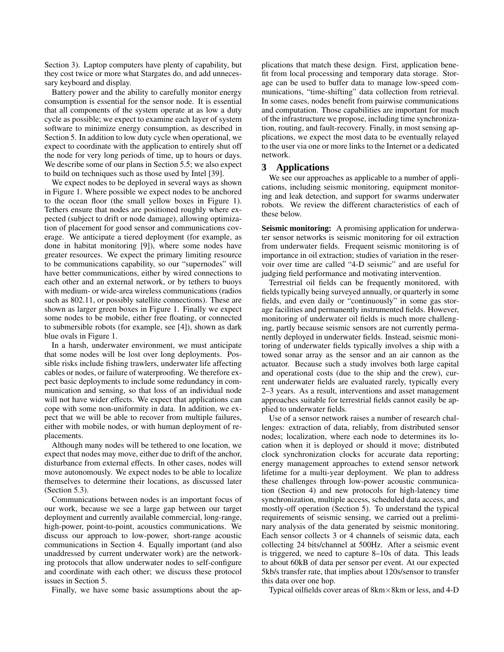Section 3). Laptop computers have plenty of capability, but they cost twice or more what Stargates do, and add unnecessary keyboard and display.

Battery power and the ability to carefully monitor energy consumption is essential for the sensor node. It is essential that all components of the system operate at as low a duty cycle as possible; we expect to examine each layer of system software to minimize energy consumption, as described in Section 5. In addition to low duty cycle when operational, we expect to coordinate with the application to entirely shut off the node for very long periods of time, up to hours or days. We describe some of our plans in Section 5.5; we also expect to build on techniques such as those used by Intel [39].

We expect nodes to be deployed in several ways as shown in Figure 1. Where possible we expect nodes to be anchored to the ocean floor (the small yellow boxes in Figure 1). Tethers ensure that nodes are positioned roughly where expected (subject to drift or node damage), allowing optimization of placement for good sensor and communications coverage. We anticipate a tiered deployment (for example, as done in habitat monitoring [9]), where some nodes have greater resources. We expect the primary limiting resource to be communications capability, so our "supernodes" will have better communications, either by wired connections to each other and an external network, or by tethers to buoys with medium- or wide-area wireless communications (radios such as 802.11, or possibly satellite connections). These are shown as larger green boxes in Figure 1. Finally we expect some nodes to be mobile, either free floating, or connected to submersible robots (for example, see [4]), shown as dark blue ovals in Figure 1.

In a harsh, underwater environment, we must anticipate that some nodes will be lost over long deployments. Possible risks include fishing trawlers, underwater life affecting cables or nodes, or failure of waterproofing. We therefore expect basic deployments to include some redundancy in communication and sensing, so that loss of an individual node will not have wider effects. We expect that applications can cope with some non-uniformity in data. In addition, we expect that we will be able to recover from multiple failures, either with mobile nodes, or with human deployment of replacements.

Although many nodes will be tethered to one location, we expect that nodes may move, either due to drift of the anchor, disturbance from external effects. In other cases, nodes will move autonomously. We expect nodes to be able to localize themselves to determine their locations, as discussed later (Section 5.3).

Communications between nodes is an important focus of our work, because we see a large gap between our target deployment and currently available commercial, long-range, high-power, point-to-point, acoustics communications. We discuss our approach to low-power, short-range acoustic communications in Section 4. Equally important (and also unaddressed by current underwater work) are the networking protocols that allow underwater nodes to self-configure and coordinate with each other; we discuss these protocol issues in Section 5.

Finally, we have some basic assumptions about the ap-

plications that match these design. First, application benefit from local processing and temporary data storage. Storage can be used to buffer data to manage low-speed communications, "time-shifting" data collection from retrieval. In some cases, nodes benefit from pairwise communications and computation. Those capabilities are important for much of the infrastructure we propose, including time synchronization, routing, and fault-recovery. Finally, in most sensing applications, we expect the most data to be eventually relayed to the user via one or more links to the Internet or a dedicated network.

# **3 Applications**

We see our approaches as applicable to a number of applications, including seismic monitoring, equipment monitoring and leak detection, and support for swarms underwater robots. We review the different characteristics of each of these below.

**Seismic monitoring:** A promising application for underwater sensor networks is seismic monitoring for oil extraction from underwater fields. Frequent seismic monitoring is of importance in oil extraction; studies of variation in the reservoir over time are called "4-D seismic" and are useful for judging field performance and motivating intervention.

Terrestrial oil fields can be frequently monitored, with fields typically being surveyed annually, or quarterly in some fields, and even daily or "continuously" in some gas storage facilities and permanently instrumented fields. However, monitoring of underwater oil fields is much more challenging, partly because seismic sensors are not currently permanently deployed in underwater fields. Instead, seismic monitoring of underwater fields typically involves a ship with a towed sonar array as the sensor and an air cannon as the actuator. Because such a study involves both large capital and operational costs (due to the ship and the crew), current underwater fields are evaluated rarely, typically every 2–3 years. As a result, interventions and asset management approaches suitable for terrestrial fields cannot easily be applied to underwater fields.

Use of a sensor network raises a number of research challenges: extraction of data, reliably, from distributed sensor nodes; localization, where each node to determines its location when it is deployed or should it move; distributed clock synchronization clocks for accurate data reporting; energy management approaches to extend sensor network lifetime for a multi-year deployment. We plan to address these challenges through low-power acoustic communication (Section 4) and new protocols for high-latency time synchronization, multiple access, scheduled data access, and mostly-off operation (Section 5). To understand the typical requirements of seismic sensing, we carried out a preliminary analysis of the data generated by seismic monitoring. Each sensor collects 3 or 4 channels of seismic data, each collecting 24 bits/channel at 500Hz. After a seismic event is triggered, we need to capture 8–10s of data. This leads to about 60kB of data per sensor per event. At our expected 5kb/s transfer rate, that implies about 120s/sensor to transfer this data over one hop.

Typical oilfields cover areas of 8km×8km or less, and 4-D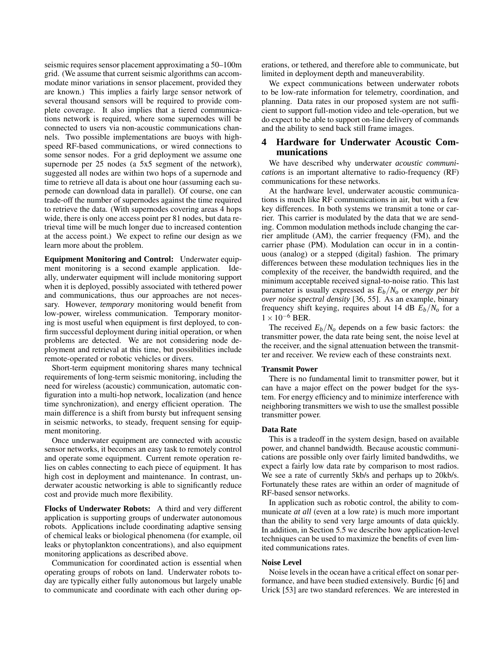seismic requires sensor placement approximating a 50–100m grid. (We assume that current seismic algorithms can accommodate minor variations in sensor placement, provided they are known.) This implies a fairly large sensor network of several thousand sensors will be required to provide complete coverage. It also implies that a tiered communications network is required, where some supernodes will be connected to users via non-acoustic communications channels. Two possible implementations are buoys with highspeed RF-based communications, or wired connections to some sensor nodes. For a grid deployment we assume one supernode per 25 nodes (a 5x5 segment of the network), suggested all nodes are within two hops of a supernode and time to retrieve all data is about one hour (assuming each supernode can download data in parallel). Of course, one can trade-off the number of supernodes against the time required to retrieve the data. (With supernodes covering areas 4 hops wide, there is only one access point per 81 nodes, but data retrieval time will be much longer due to increased contention at the access point.) We expect to refine our design as we learn more about the problem.

**Equipment Monitoring and Control:** Underwater equipment monitoring is a second example application. Ideally, underwater equipment will include monitoring support when it is deployed, possibly associated with tethered power and communications, thus our approaches are not necessary. However, *temporary* monitoring would benefit from low-power, wireless communication. Temporary monitoring is most useful when equipment is first deployed, to confirm successful deployment during initial operation, or when problems are detected. We are not considering node deployment and retrieval at this time, but possibilities include remote-operated or robotic vehicles or divers.

Short-term equipment monitoring shares many technical requirements of long-term seismic monitoring, including the need for wireless (acoustic) communication, automatic configuration into a multi-hop network, localization (and hence time synchronization), and energy efficient operation. The main difference is a shift from bursty but infrequent sensing in seismic networks, to steady, frequent sensing for equipment monitoring.

Once underwater equipment are connected with acoustic sensor networks, it becomes an easy task to remotely control and operate some equipment. Current remote operation relies on cables connecting to each piece of equipment. It has high cost in deployment and maintenance. In contrast, underwater acoustic networking is able to significantly reduce cost and provide much more flexibility.

**Flocks of Underwater Robots:** A third and very different application is supporting groups of underwater autonomous robots. Applications include coordinating adaptive sensing of chemical leaks or biological phenomena (for example, oil leaks or phytoplankton concentrations), and also equipment monitoring applications as described above.

Communication for coordinated action is essential when operating groups of robots on land. Underwater robots today are typically either fully autonomous but largely unable to communicate and coordinate with each other during operations, or tethered, and therefore able to communicate, but limited in deployment depth and maneuverability.

We expect communications between underwater robots to be low-rate information for telemetry, coordination, and planning. Data rates in our proposed system are not sufficient to support full-motion video and tele-operation, but we do expect to be able to support on-line delivery of commands and the ability to send back still frame images.

# **4 Hardware for Underwater Acoustic Communications**

We have described why underwater *acoustic communications* is an important alternative to radio-frequency (RF) communications for these networks.

At the hardware level, underwater acoustic communications is much like RF communications in air, but with a few key differences. In both systems we transmit a tone or carrier. This carrier is modulated by the data that we are sending. Common modulation methods include changing the carrier amplitude (AM), the carrier frequency (FM), and the carrier phase (PM). Modulation can occur in in a continuous (analog) or a stepped (digital) fashion. The primary differences between these modulation techniques lies in the complexity of the receiver, the bandwidth required, and the minimum acceptable received signal-to-noise ratio. This last parameter is usually expressed as  $E_b/N_o$  or *energy per bit over noise spectral density* [36, 55]. As an example, binary frequency shift keying, requires about 14 dB  $E_b/N_o$  for a  $1\times10^{-6}$  BER.

The received  $E_b/N_a$  depends on a few basic factors: the transmitter power, the data rate being sent, the noise level at the receiver, and the signal attenuation between the transmitter and receiver. We review each of these constraints next.

## **Transmit Power**

There is no fundamental limit to transmitter power, but it can have a major effect on the power budget for the system. For energy efficiency and to minimize interference with neighboring transmitters we wish to use the smallest possible transmitter power.

#### **Data Rate**

This is a tradeoff in the system design, based on available power, and channel bandwidth. Because acoustic communications are possible only over fairly limited bandwdiths, we expect a fairly low data rate by comparison to most radios. We see a rate of currently 5kb/s and perhaps up to 20kb/s. Fortunately these rates are within an order of magnitude of RF-based sensor networks.

In application such as robotic control, the ability to communicate *at all* (even at a low rate) is much more important than the ability to send very large amounts of data quickly. In addition, in Section 5.5 we describe how application-level techniques can be used to maximize the benefits of even limited communications rates.

#### **Noise Level**

Noise levels in the ocean have a critical effect on sonar performance, and have been studied extensively. Burdic [6] and Urick [53] are two standard references. We are interested in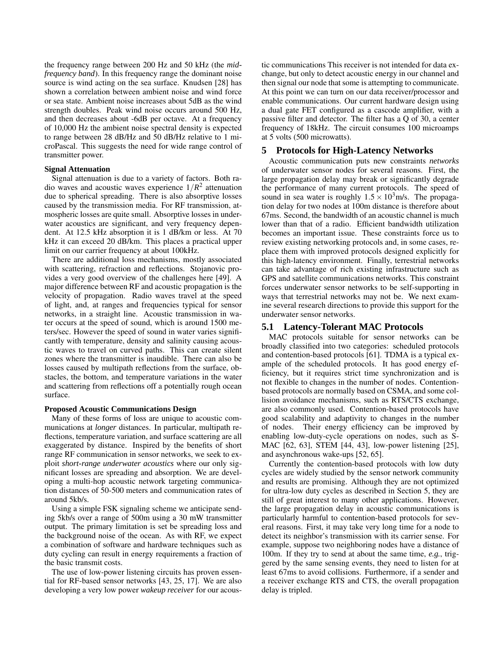the frequency range between 200 Hz and 50 kHz (the *midfrequency band*). In this frequency range the dominant noise source is wind acting on the sea surface. Knudsen [28] has shown a correlation between ambient noise and wind force or sea state. Ambient noise increases about 5dB as the wind strength doubles. Peak wind noise occurs around 500 Hz, and then decreases about -6dB per octave. At a frequency of 10,000 Hz the ambient noise spectral density is expected to range between 28 dB/Hz and 50 dB/Hz relative to 1 microPascal. This suggests the need for wide range control of transmitter power.

#### **Signal Attenuation**

Signal attenuation is due to a variety of factors. Both radio waves and acoustic waves experience  $1/R^2$  attenuation due to spherical spreading. There is also absorptive losses caused by the transmission media. For RF transmission, atmospheric losses are quite small. Absorptive losses in underwater acoustics are significant, and very frequency dependent. At 12.5 kHz absorption it is 1 dB/km or less. At 70 kHz it can exceed 20 dB/km. This places a practical upper limit on our carrier frequency at about 100kHz.

There are additional loss mechanisms, mostly associated with scattering, refraction and reflections. Stojanovic provides a very good overview of the challenges here [49]. A major difference between RF and acoustic propagation is the velocity of propagation. Radio waves travel at the speed of light, and, at ranges and frequencies typical for sensor networks, in a straight line. Acoustic transmission in water occurs at the speed of sound, which is around 1500 meters/sec. However the speed of sound in water varies significantly with temperature, density and salinity causing acoustic waves to travel on curved paths. This can create silent zones where the transmitter is inaudible. There can also be losses caused by multipath reflections from the surface, obstacles, the bottom, and temperature variations in the water and scattering from reflections off a potentially rough ocean surface.

## **Proposed Acoustic Communications Design**

Many of these forms of loss are unique to acoustic communications at *longer* distances. In particular, multipath reflections, temperature variation, and surface scattering are all exaggerated by distance. Inspired by the benefits of short range RF communication in sensor networks, we seek to exploit *short-range underwater acoustics* where our only significant losses are spreading and absorption. We are developing a multi-hop acoustic network targeting communication distances of 50-500 meters and communication rates of around 5kb/s.

Using a simple FSK signaling scheme we anticipate sending 5kb/s over a range of 500m using a 30 mW transmitter output. The primary limitation is set be spreading loss and the background noise of the ocean. As with RF, we expect a combination of software and hardware techniques such as duty cycling can result in energy requirements a fraction of the basic transmit costs.

The use of low-power listening circuits has proven essential for RF-based sensor networks [43, 25, 17]. We are also developing a very low power *wakeup receiver* for our acoustic communications This receiver is not intended for data exchange, but only to detect acoustic energy in our channel and then signal our node that some is attempting to communicate. At this point we can turn on our data receiver/processor and enable communications. Our current hardware design using a dual gate FET configured as a cascode amplifier, with a passive filter and detector. The filter has a Q of 30, a center frequency of 18kHz. The circuit consumes 100 microamps at 5 volts (500 microwatts).

## **5 Protocols for High-Latency Networks**

Acoustic communication puts new constraints *networks* of underwater sensor nodes for several reasons. First, the large propagation delay may break or significantly degrade the performance of many current protocols. The speed of sound in sea water is roughly  $1.5 \times 10^3$  m/s. The propagation delay for two nodes at 100m distance is therefore about 67ms. Second, the bandwidth of an acoustic channel is much lower than that of a radio. Efficient bandwidth utilization becomes an important issue. These constraints force us to review existing networking protocols and, in some cases, replace them with improved protocols designed explicitly for this high-latency environment. Finally, terrestrial networks can take advantage of rich existing infrastructure such as GPS and satellite communications networks. This constraint forces underwater sensor networks to be self-supporting in ways that terrestrial networks may not be. We next examine several research directions to provide this support for the underwater sensor networks.

## **5.1 Latency-Tolerant MAC Protocols**

MAC protocols suitable for sensor networks can be broadly classified into two categories: scheduled protocols and contention-based protocols [61]. TDMA is a typical example of the scheduled protocols. It has good energy efficiency, but it requires strict time synchronization and is not flexible to changes in the number of nodes. Contentionbased protocols are normally based on CSMA, and some collision avoidance mechanisms, such as RTS/CTS exchange, are also commonly used. Contention-based protocols have good scalability and adaptivity to changes in the number of nodes. Their energy efficiency can be improved by enabling low-duty-cycle operations on nodes, such as S-MAC [62, 63], STEM [44, 43], low-power listening [25], and asynchronous wake-ups [52, 65].

Currently the contention-based protocols with low duty cycles are widely studied by the sensor network community and results are promising. Although they are not optimized for ultra-low duty cycles as described in Section 5, they are still of great interest to many other applications. However, the large propagation delay in acoustic communications is particularly harmful to contention-based protocols for several reasons. First, it may take very long time for a node to detect its neighbor's transmission with its carrier sense. For example, suppose two neighboring nodes have a distance of 100m. If they try to send at about the same time, *e.g.*, triggered by the same sensing events, they need to listen for at least 67ms to avoid collisions. Furthermore, if a sender and a receiver exchange RTS and CTS, the overall propagation delay is tripled.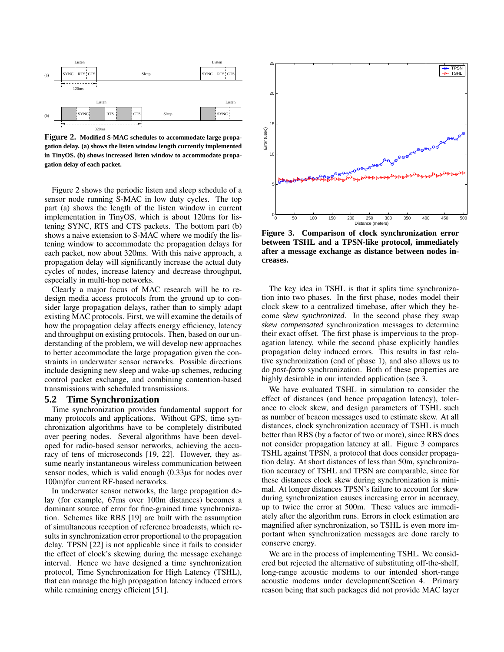

**Figure 2. Modified S-MAC schedules to accommodate large propagation delay. (a) shows the listen window length currently implemented in TinyOS. (b) shows increased listen window to accommodate propagation delay of each packet.**

Figure 2 shows the periodic listen and sleep schedule of a sensor node running S-MAC in low duty cycles. The top part (a) shows the length of the listen window in current implementation in TinyOS, which is about 120ms for listening SYNC, RTS and CTS packets. The bottom part (b) shows a naive extension to S-MAC where we modify the listening window to accommodate the propagation delays for each packet, now about 320ms. With this naive approach, a propagation delay will significantly increase the actual duty cycles of nodes, increase latency and decrease throughput, especially in multi-hop networks.

Clearly a major focus of MAC research will be to redesign media access protocols from the ground up to consider large propagation delays, rather than to simply adapt existing MAC protocols. First, we will examine the details of how the propagation delay affects energy efficiency, latency and throughput on existing protocols. Then, based on our understanding of the problem, we will develop new approaches to better accommodate the large propagation given the constraints in underwater sensor networks. Possible directions include designing new sleep and wake-up schemes, reducing control packet exchange, and combining contention-based transmissions with scheduled transmissions.

#### **5.2 Time Synchronization**

Time synchronization provides fundamental support for many protocols and applications. Without GPS, time synchronization algorithms have to be completely distributed over peering nodes. Several algorithms have been developed for radio-based sensor networks, achieving the accuracy of tens of microseconds [19, 22]. However, they assume nearly instantaneous wireless communication between sensor nodes, which is valid enough (0.33*µ*s for nodes over 100m)for current RF-based networks.

In underwater sensor networks, the large propagation delay (for example, 67ms over 100m distances) becomes a dominant source of error for fine-grained time synchronization. Schemes like RBS [19] are built with the assumption of simultaneous reception of reference broadcasts, which results in synchronization error proportional to the propagation delay. TPSN [22] is not applicable since it fails to consider the effect of clock's skewing during the message exchange interval. Hence we have designed a time synchronization protocol, Time Synchronization for High Latency (TSHL), that can manage the high propagation latency induced errors while remaining energy efficient [51].



**Figure 3. Comparison of clock synchronization error between TSHL and a TPSN-like protocol, immediately after a message exchange as distance between nodes increases.**

The key idea in TSHL is that it splits time synchronization into two phases. In the first phase, nodes model their clock skew to a centralized timebase, after which they become *skew synchronized*. In the second phase they swap *skew compensated* synchronization messages to determine their exact offset. The first phase is impervious to the propagation latency, while the second phase explicitly handles propagation delay induced errors. This results in fast relative synchronization (end of phase 1), and also allows us to do *post-facto* synchronization. Both of these properties are highly desirable in our intended application (see 3.

We have evaluated TSHL in simulation to consider the effect of distances (and hence propagation latency), tolerance to clock skew, and design parameters of TSHL such as number of beacon messages used to estimate skew. At all distances, clock synchronization accuracy of TSHL is much better than RBS (by a factor of two or more), since RBS does not consider propagation latency at all. Figure 3 compares TSHL against TPSN, a protocol that does consider propagation delay. At short distances of less than 50m, synchronization accuracy of TSHL and TPSN are comparable, since for these distances clock skew during synchronization is minimal. At longer distances TPSN's failure to account for skew during synchronization causes increasing error in accuracy, up to twice the error at 500m. These values are immediately after the algorithm runs. Errors in clock estimation are magnified after synchronization, so TSHL is even more important when synchronization messages are done rarely to conserve energy.

We are in the process of implementing TSHL. We considered but rejected the alternative of substituting off-the-shelf, long-range acoustic modems to our intended short-range acoustic modems under development(Section 4. Primary reason being that such packages did not provide MAC layer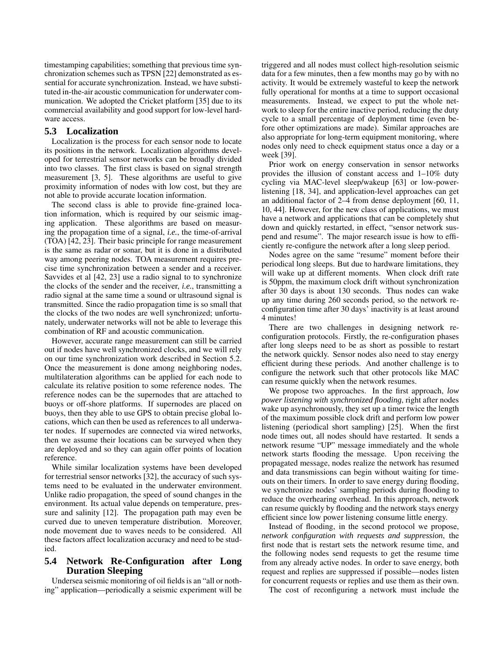timestamping capabilities; something that previous time synchronization schemes such as TPSN [22] demonstrated as essential for accurate synchronization. Instead, we have substituted in-the-air acoustic communication for underwater communication. We adopted the Cricket platform [35] due to its commercial availability and good support for low-level hardware access.

# **5.3 Localization**

Localization is the process for each sensor node to locate its positions in the network. Localization algorithms developed for terrestrial sensor networks can be broadly divided into two classes. The first class is based on signal strength measurement [3, 5]. These algorithms are useful to give proximity information of nodes with low cost, but they are not able to provide accurate location information.

The second class is able to provide fine-grained location information, which is required by our seismic imaging application. These algorithms are based on measuring the propagation time of a signal, *i.e.*, the time-of-arrival (TOA) [42, 23]. Their basic principle for range measurement is the same as radar or sonar, but it is done in a distributed way among peering nodes. TOA measurement requires precise time synchronization between a sender and a receiver. Savvides et al [42, 23] use a radio signal to to synchronize the clocks of the sender and the receiver, *i.e.*, transmitting a radio signal at the same time a sound or ultrasound signal is transmitted. Since the radio propagation time is so small that the clocks of the two nodes are well synchronized; unfortunately, underwater networks will not be able to leverage this combination of RF and acoustic communication.

However, accurate range measurement can still be carried out if nodes have well synchronized clocks, and we will rely on our time synchronization work described in Section 5.2. Once the measurement is done among neighboring nodes, multilateration algorithms can be applied for each node to calculate its relative position to some reference nodes. The reference nodes can be the supernodes that are attached to buoys or off-shore platforms. If supernodes are placed on buoys, then they able to use GPS to obtain precise global locations, which can then be used as references to all underwater nodes. If supernodes are connected via wired networks, then we assume their locations can be surveyed when they are deployed and so they can again offer points of location reference.

While similar localization systems have been developed for terrestrial sensor networks [32], the accuracy of such systems need to be evaluated in the underwater environment. Unlike radio propagation, the speed of sound changes in the environment. Its actual value depends on temperature, pressure and salinity [12]. The propagation path may even be curved due to uneven temperature distribution. Moreover, node movement due to waves needs to be considered. All these factors affect localization accuracy and need to be studied.

# **5.4 Network Re-Configuration after Long Duration Sleeping**

Undersea seismic monitoring of oil fields is an "all or nothing" application—periodically a seismic experiment will be triggered and all nodes must collect high-resolution seismic data for a few minutes, then a few months may go by with no activity. It would be extremely wasteful to keep the network fully operational for months at a time to support occasional measurements. Instead, we expect to put the whole network to sleep for the entire inactive period, reducing the duty cycle to a small percentage of deployment time (even before other optimizations are made). Similar approaches are also appropriate for long-term equipment monitoring, where nodes only need to check equipment status once a day or a week [39].

Prior work on energy conservation in sensor networks provides the illusion of constant access and 1–10% duty cycling via MAC-level sleep/wakeup [63] or low-powerlistening [18, 34], and application-level approaches can get an additional factor of 2–4 from dense deployment [60, 11, 10, 44]. However, for the new class of applications, we must have a network and applications that can be completely shut down and quickly restarted, in effect, "sensor network suspend and resume". The major research issue is how to efficiently re-configure the network after a long sleep period.

Nodes agree on the same "resume" moment before their periodical long sleeps. But due to hardware limitations, they will wake up at different moments. When clock drift rate is 50ppm, the maximum clock drift without synchronization after 30 days is about 130 seconds. Thus nodes can wake up any time during 260 seconds period, so the network reconfiguration time after 30 days' inactivity is at least around 4 minutes!

There are two challenges in designing network reconfiguration protocols. Firstly, the re-configuration phases after long sleeps need to be as short as possible to restart the network quickly. Sensor nodes also need to stay energy efficient during these periods. And another challenge is to configure the network such that other protocols like MAC can resume quickly when the network resumes.

We propose two approaches. In the first approach, *low power listening with synchronized flooding*, right after nodes wake up asynchronously, they set up a timer twice the length of the maximum possible clock drift and perform low power listening (periodical short sampling) [25]. When the first node times out, all nodes should have restarted. It sends a network resume "UP" message immediately and the whole network starts flooding the message. Upon receiving the propagated message, nodes realize the network has resumed and data transmissions can begin without waiting for timeouts on their timers. In order to save energy during flooding, we synchronize nodes' sampling periods during flooding to reduce the overhearing overhead. In this approach, network can resume quickly by flooding and the network stays energy efficient since low power listening consume little energy.

Instead of flooding, in the second protocol we propose, *network configuration with requests and suppression*, the first node that is restart sets the network resume time, and the following nodes send requests to get the resume time from any already active nodes. In order to save energy, both request and replies are suppressed if possible—nodes listen for concurrent requests or replies and use them as their own.

The cost of reconfiguring a network must include the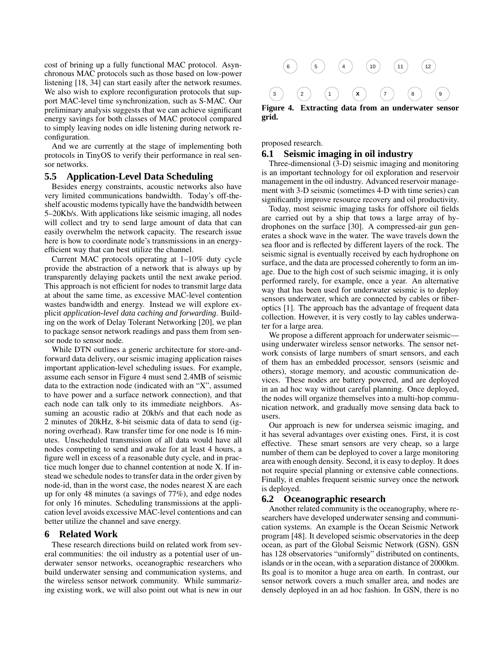cost of brining up a fully functional MAC protocol. Asynchronous MAC protocols such as those based on low-power listening [18, 34] can start easily after the network resumes. We also wish to explore reconfiguration protocols that support MAC-level time synchronization, such as S-MAC. Our preliminary analysis suggests that we can achieve significant energy savings for both classes of MAC protocol compared to simply leaving nodes on idle listening during network reconfiguration.

And we are currently at the stage of implementing both protocols in TinyOS to verify their performance in real sensor networks.

# **5.5 Application-Level Data Scheduling**

Besides energy constraints, acoustic networks also have very limited communications bandwidth. Today's off-theshelf acoustic modems typically have the bandwidth between 5–20Kb/s. With applications like seismic imaging, all nodes will collect and try to send large amount of data that can easily overwhelm the network capacity. The research issue here is how to coordinate node's transmissions in an energyefficient way that can best utilize the channel.

Current MAC protocols operating at 1–10% duty cycle provide the abstraction of a network that is always up by transparently delaying packets until the next awake period. This approach is not efficient for nodes to transmit large data at about the same time, as excessive MAC-level contention wastes bandwidth and energy. Instead we will explore explicit *application-level data caching and forwarding*. Building on the work of Delay Tolerant Networking [20], we plan to package sensor network readings and pass them from sensor node to sensor node.

While DTN outlines a generic architecture for store-andforward data delivery, our seismic imaging application raises important application-level scheduling issues. For example, assume each sensor in Figure 4 must send 2.4MB of seismic data to the extraction node (indicated with an "X", assumed to have power and a surface network connection), and that each node can talk only to its immediate neighbors. Assuming an acoustic radio at 20kb/s and that each node as 2 minutes of 20kHz, 8-bit seismic data of data to send (ignoring overhead). Raw transfer time for one node is 16 minutes. Unscheduled transmission of all data would have all nodes competing to send and awake for at least 4 hours, a figure well in excess of a reasonable duty cycle, and in practice much longer due to channel contention at node X. If instead we schedule nodes to transfer data in the order given by node-id, than in the worst case, the nodes nearest X are each up for only 48 minutes (a savings of 77%), and edge nodes for only 16 minutes. Scheduling transmissions at the application level avoids excessive MAC-level contentions and can better utilize the channel and save energy.

## **6 Related Work**

These research directions build on related work from several communities: the oil industry as a potential user of underwater sensor networks, oceanographic researchers who build underwater sensing and communication systems, and the wireless sensor network community. While summarizing existing work, we will also point out what is new in our



**grid.**

proposed research.

## **6.1 Seismic imaging in oil industry**

Three-dimensional (3-D) seismic imaging and monitoring is an important technology for oil exploration and reservoir management in the oil industry. Advanced reservoir management with 3-D seismic (sometimes 4-D with time series) can significantly improve resource recovery and oil productivity.

Today, most seismic imaging tasks for offshore oil fields are carried out by a ship that tows a large array of hydrophones on the surface [30]. A compressed-air gun generates a shock wave in the water. The wave travels down the sea floor and is reflected by different layers of the rock. The seismic signal is eventually received by each hydrophone on surface, and the data are processed coherently to form an image. Due to the high cost of such seismic imaging, it is only performed rarely, for example, once a year. An alternative way that has been used for underwater seismic is to deploy sensors underwater, which are connected by cables or fiberoptics [1]. The approach has the advantage of frequent data collection. However, it is very costly to lay cables underwater for a large area.

We propose a different approach for underwater seismicusing underwater wireless sensor networks. The sensor network consists of large numbers of smart sensors, and each of them has an embedded processor, sensors (seismic and others), storage memory, and acoustic communication devices. These nodes are battery powered, and are deployed in an ad hoc way without careful planning. Once deployed, the nodes will organize themselves into a multi-hop communication network, and gradually move sensing data back to users.

Our approach is new for undersea seismic imaging, and it has several advantages over existing ones. First, it is cost effective. These smart sensors are very cheap, so a large number of them can be deployed to cover a large monitoring area with enough density. Second, it is easy to deploy. It does not require special planning or extensive cable connections. Finally, it enables frequent seismic survey once the network is deployed.

## **6.2 Oceanographic research**

Another related community is the oceanography, where researchers have developed underwater sensing and communication systems. An example is the Ocean Seismic Network program [48]. It developed seismic observatories in the deep ocean, as part of the Global Seismic Network (GSN). GSN has 128 observatories "uniformly" distributed on continents, islands or in the ocean, with a separation distance of 2000km. Its goal is to monitor a huge area on earth. In contrast, our sensor network covers a much smaller area, and nodes are densely deployed in an ad hoc fashion. In GSN, there is no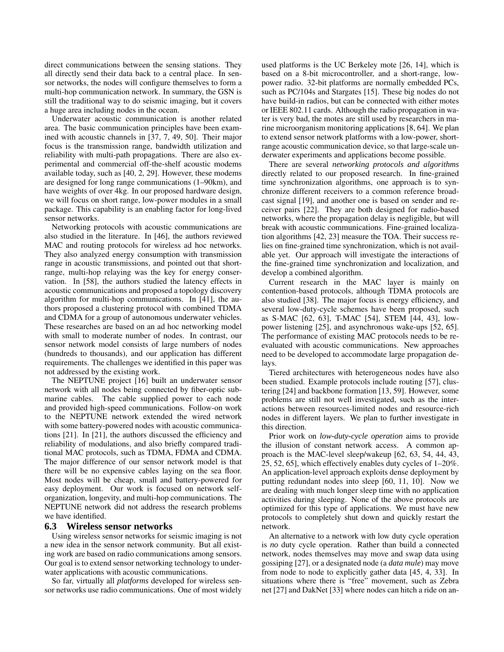direct communications between the sensing stations. They all directly send their data back to a central place. In sensor networks, the nodes will configure themselves to form a multi-hop communication network. In summary, the GSN is still the traditional way to do seismic imaging, but it covers a huge area including nodes in the ocean.

Underwater acoustic communication is another related area. The basic communication principles have been examined with acoustic channels in [37, 7, 49, 50]. Their major focus is the transmission range, bandwidth utilization and reliability with multi-path propagations. There are also experimental and commercial off-the-shelf acoustic modems available today, such as [40, 2, 29]. However, these modems are designed for long range communications (1–90km), and have weights of over 4kg. In our proposed hardware design, we will focus on short range, low-power modules in a small package. This capability is an enabling factor for long-lived sensor networks.

Networking protocols with acoustic communications are also studied in the literature. In [46], the authors reviewed MAC and routing protocols for wireless ad hoc networks. They also analyzed energy consumption with transmission range in acoustic transmissions, and pointed out that shortrange, multi-hop relaying was the key for energy conservation. In [58], the authors studied the latency effects in acoustic communications and proposed a topology discovery algorithm for multi-hop communications. In [41], the authors proposed a clustering protocol with combined TDMA and CDMA for a group of autonomous underwater vehicles. These researches are based on an ad hoc networking model with small to moderate number of nodes. In contrast, our sensor network model consists of large numbers of nodes (hundreds to thousands), and our application has different requirements. The challenges we identified in this paper was not addressed by the existing work.

The NEPTUNE project [16] built an underwater sensor network with all nodes being connected by fiber-optic submarine cables. The cable supplied power to each node and provided high-speed communications. Follow-on work to the NEPTUNE network extended the wired network with some battery-powered nodes with acoustic communications [21]. In [21], the authors discussed the efficiency and reliability of modulations, and also briefly compared traditional MAC protocols, such as TDMA, FDMA and CDMA. The major difference of our sensor network model is that there will be no expensive cables laying on the sea floor. Most nodes will be cheap, small and battery-powered for easy deployment. Our work is focused on network selforganization, longevity, and multi-hop communications. The NEPTUNE network did not address the research problems we have identified.

## **6.3 Wireless sensor networks**

Using wireless sensor networks for seismic imaging is not a new idea in the sensor network community. But all existing work are based on radio communications among sensors. Our goal is to extend sensor networking technology to underwater applications with acoustic communications.

So far, virtually all *platforms* developed for wireless sensor networks use radio communications. One of most widely used platforms is the UC Berkeley mote [26, 14], which is based on a 8-bit microcontroller, and a short-range, lowpower radio. 32-bit platforms are normally embedded PCs, such as PC/104s and Stargates [15]. These big nodes do not have build-in radios, but can be connected with either motes or IEEE 802.11 cards. Although the radio propagation in water is very bad, the motes are still used by researchers in marine microorganism monitoring applications [8, 64]. We plan to extend sensor network platforms with a low-power, shortrange acoustic communication device, so that large-scale underwater experiments and applications become possible.

There are several *networking protocols and algorithms* directly related to our proposed research. In fine-grained time synchronization algorithms, one approach is to synchronize different receivers to a common reference broadcast signal [19], and another one is based on sender and receiver pairs [22]. They are both designed for radio-based networks, where the propagation delay is negligible, but will break with acoustic communications. Fine-grained localization algorithms [42, 23] measure the TOA. Their success relies on fine-grained time synchronization, which is not available yet. Our approach will investigate the interactions of the fine-grained time synchronization and localization, and develop a combined algorithm.

Current research in the MAC layer is mainly on contention-based protocols, although TDMA protocols are also studied [38]. The major focus is energy efficiency, and several low-duty-cycle schemes have been proposed, such as S-MAC [62, 63], T-MAC [54], STEM [44, 43], lowpower listening [25], and asynchronous wake-ups [52, 65]. The performance of existing MAC protocols needs to be reevaluated with acoustic communications. New approaches need to be developed to accommodate large propagation delays.

Tiered architectures with heterogeneous nodes have also been studied. Example protocols include routing [57], clustering [24] and backbone formation [13, 59]. However, some problems are still not well investigated, such as the interactions between resources-limited nodes and resource-rich nodes in different layers. We plan to further investigate in this direction.

Prior work on *low-duty-cycle operation* aims to provide the illusion of constant network access. A common approach is the MAC-level sleep/wakeup [62, 63, 54, 44, 43, 25, 52, 65], which effectively enables duty cycles of 1–20%. An application-level approach exploits dense deployment by putting redundant nodes into sleep [60, 11, 10]. Now we are dealing with much longer sleep time with no application activities during sleeping. None of the above protocols are optimized for this type of applications. We must have new protocols to completely shut down and quickly restart the network.

An alternative to a network with low duty cycle operation is *no* duty cycle operation. Rather than build a connected network, nodes themselves may move and swap data using gossiping [27], or a designated node (a *data mule*) may move from node to node to explicitly gather data [45, 4, 33]. In situations where there is "free" movement, such as Zebra net [27] and DakNet [33] where nodes can hitch a ride on an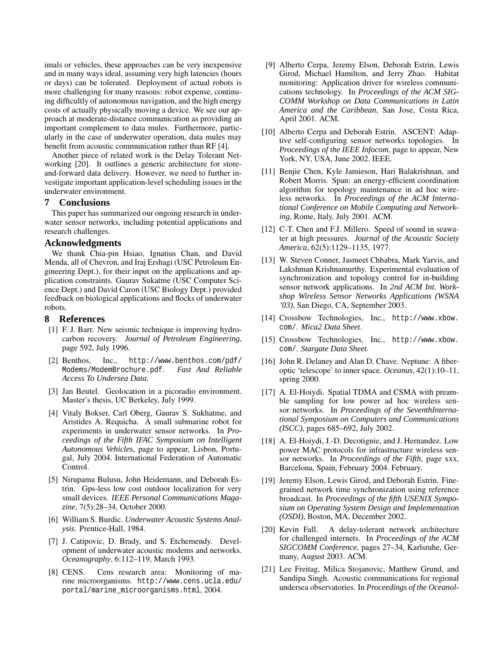imals or vehicles, these approaches can be very inexpensive and in many ways ideal, assuming very high latencies (hours or days) can be tolerated. Deployment of actual robots is more challenging for many reasons: robot expense, continuing difficultly of autonomous navigation, and the high energy costs of actually physically moving a device. We see our approach at moderate-distance communication as providing an important complement to data mules. Furthermore, particularly in the case of underwater operation, data mules may benefit from acoustic communication rather than RF [4].

Another piece of related work is the Delay Tolerant Networking [20]. It outlines a generic architecture for storeand-forward data delivery. However, we need to further investigate important application-level scheduling issues in the underwater environment.

## **7 Conclusions**

This paper has summarized our ongoing research in underwater sensor networks, including potential applications and research challenges.

## **Acknowledgments**

We thank Chia-pin Hsiao, Ignatius Chan, and David Menda, all of Chevron, and Iraj Ershagi (USC Petroleum Engineering Dept.), for their input on the applications and application constraints. Gaurav Sukatme (USC Computer Science Dept.) and David Caron (USC Biology Dept.) provided feedback on biological applications and flocks of underwater robots.

## **8 References**

- [1] F. J. Barr. New seismic technique is improving hydrocarbon recovery. *Journal of Petroleum Engineering*, page 592, July 1996.
- [2] Benthos, Inc., http://www.benthos.com/pdf/ Modems/ModemBrochure.pdf. *Fast And Reliable Access To Undersea Data*.
- [3] Jan Beutel. Geolocation in a picoradio environment. Master's thesis, UC Berkeley, July 1999.
- [4] Vitaly Bokser, Carl Oberg, Gaurav S. Sukhatme, and Aristides A. Requicha. A small submarine robot for experiments in underwater sensor networks. In *Proceedings of the Fifth IFAC Symposium on Intelligent Autonomous Vehicles*, page to appear, Lisbon, Portugal, July 2004. International Federation of Automatic Control.
- [5] Nirupama Bulusu, John Heidemann, and Deborah Estrin. Gps-less low cost outdoor localization for very small devices. *IEEE Personal Communications Magazine*, 7(5):28–34, October 2000.
- [6] William S. Burdic. *Underwater Acoustic Systems Analysis*. Prentice-Hall, 1984.
- [7] J. Catipovic, D. Brady, and S. Etchemendy. Development of underwater acoustic modems and networks. *Oceanography*, 6:112–119, March 1993.
- [8] CENS. Cens research area: Monitoring of marine microorganisms. http://www.cens.ucla.edu/ portal/marine\_microorganisms.html, 2004.
- [9] Alberto Cerpa, Jeremy Elson, Deborah Estrin, Lewis Girod, Michael Hamilton, and Jerry Zhao. Habitat monitoring: Application driver for wireless communications technology. In *Proceedings of the ACM SIG-COMM Workshop on Data Communications in Latin America and the Caribbean*, San Jose, Costa Rica, April 2001. ACM.
- [10] Alberto Cerpa and Deborah Estrin. ASCENT: Adaptive self-configuring sensor networks topologies. In *Proceedings of the IEEE Infocom*, page to appear, New York, NY, USA, June 2002. IEEE.
- [11] Benjie Chen, Kyle Jamieson, Hari Balakrishnan, and Robert Morris. Span: an energy-efficient coordination algorithm for topology maintenance in ad hoc wireless networks. In *Proceedings of the ACM International Conference on Mobile Computing and Networking*, Rome, Italy, July 2001. ACM.
- [12] C-T. Chen and F.J. Millero. Speed of sound in seawater at high pressures. *Journal of the Acoustic Society America*, 62(5):1129–1135, 1977.
- [13] W. Steven Conner, Jasmeet Chhabra, Mark Yarvis, and Lakshman Krishnamurthy. Experimental evaluation of synchronization and topology control for in-building sensor network applications. In *2nd ACM Int. Workshop Wireless Sensor Networks Applications (WSNA '03)*, San Diego, CA, September 2003.
- [14] Crossbow Technologies, Inc., http://www.xbow. com/. *Mica2 Data Sheet*.
- [15] Crossbow Technologies, Inc., http://www.xbow. com/. *Stargate Data Sheet*.
- [16] John R. Delaney and Alan D. Chave. Neptune: A fiberoptic 'telescope' to inner space. *Oceanus*, 42(1):10–11, spring 2000.
- [17] A. El-Hoiydi. Spatial TDMA and CSMA with preamble sampling for low power ad hoc wireless sensor networks. In *Proceedings of the SeventhInternational Symposium on Computers and Communications (ISCC)*, pages 685–692, July 2002.
- [18] A. El-Hoiydi, J.-D. Decotignie, and J. Hernandez. Low power MAC protocols for infrastructure wireless sensor networks. In *Proceedings of the Fifth*, page xxx, Barcelona, Spain, February 2004. February.
- [19] Jeremy Elson, Lewis Girod, and Deborah Estrin. Finegrained network time synchronization using reference broadcast. In *Proceedings of the fifth USENIX Symposium on Operating System Design and Implementation (OSDI)*, Boston, MA, December 2002.
- [20] Kevin Fall. A delay-tolerant network architecture for challenged internets. In *Proceedings of the ACM SIGCOMM Conference*, pages 27–34, Karlsruhe, Germany, August 2003. ACM.
- [21] Lee Freitag, Milica Stojanovic, Matthew Grund, and Sandipa Singh. Acoustic communications for regional undersea observatories. In *Proceedings of the Oceanol-*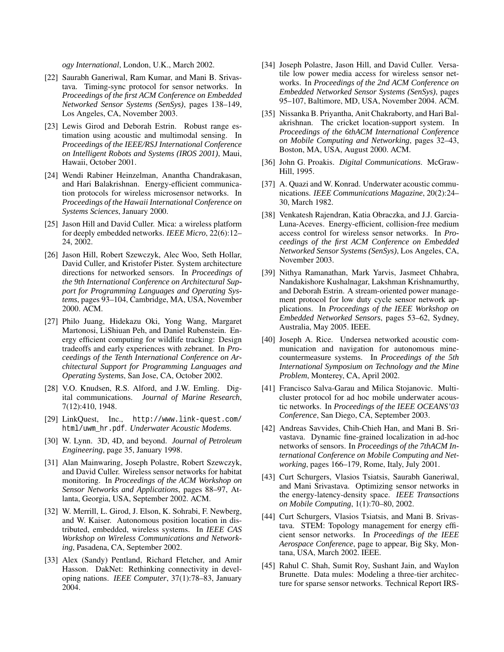*ogy International*, London, U.K., March 2002.

- [22] Saurabh Ganeriwal, Ram Kumar, and Mani B. Srivastava. Timing-sync protocol for sensor networks. In *Proceedings of the first ACM Conference on Embedded Networked Sensor Systems (SenSys)*, pages 138–149, Los Angeles, CA, November 2003.
- [23] Lewis Girod and Deborah Estrin. Robust range estimation using acoustic and multimodal sensing. In *Proceedings of the IEEE/RSJ International Conference on Intelligent Robots and Systems (IROS 2001)*, Maui, Hawaii, October 2001.
- [24] Wendi Rabiner Heinzelman, Anantha Chandrakasan, and Hari Balakrishnan. Energy-efficient communication protocols for wireless microsensor networks. In *Proceedings of the Hawaii International Conference on Systems Sciences*, January 2000.
- [25] Jason Hill and David Culler. Mica: a wireless platform for deeply embedded networks. *IEEE Micro*, 22(6):12– 24, 2002.
- [26] Jason Hill, Robert Szewczyk, Alec Woo, Seth Hollar, David Culler, and Kristofer Pister. System architecture directions for networked sensors. In *Proceedings of the 9th International Conference on Architectural Support for Programming Languages and Operating Systems*, pages 93–104, Cambridge, MA, USA, November 2000. ACM.
- [27] Philo Juang, Hidekazu Oki, Yong Wang, Margaret Martonosi, LiShiuan Peh, and Daniel Rubenstein. Energy efficient computing for wildlife tracking: Design tradeoffs and early experiences with zebranet. In *Proceedings of the Tenth International Conference on Architectural Support for Programming Languages and Operating Systems*, San Jose, CA, October 2002.
- [28] V.O. Knudsen, R.S. Alford, and J.W. Emling. Digital communications. *Journal of Marine Research*, 7(12):410, 1948.
- [29] LinkQuest, Inc., http://www.link-quest.com/ html/uwm\_hr.pdf. *Underwater Acoustic Modems*.
- [30] W. Lynn. 3D, 4D, and beyond. *Journal of Petroleum Engineering*, page 35, January 1998.
- [31] Alan Mainwaring, Joseph Polastre, Robert Szewczyk, and David Culler. Wireless sensor networks for habitat monitoring. In *Proceedings of the ACM Workshop on Sensor Networks and Applications*, pages 88–97, Atlanta, Georgia, USA, September 2002. ACM.
- [32] W. Merrill, L. Girod, J. Elson, K. Sohrabi, F. Newberg, and W. Kaiser. Autonomous position location in distributed, embedded, wireless systems. In *IEEE CAS Workshop on Wireless Communications and Networking*, Pasadena, CA, September 2002.
- [33] Alex (Sandy) Pentland, Richard Fletcher, and Amir Hasson. DakNet: Rethinking connectivity in developing nations. *IEEE Computer*, 37(1):78–83, January 2004.
- [34] Joseph Polastre, Jason Hill, and David Culler. Versatile low power media access for wireless sensor networks. In *Proceedings of the 2nd ACM Conference on Embedded Networked Sensor Systems (SenSys)*, pages 95–107, Baltimore, MD, USA, November 2004. ACM.
- [35] Nissanka B. Priyantha, Anit Chakraborty, and Hari Balakrishnan. The cricket location-support system. In *Proceedings of the 6thACM International Conference on Mobile Computing and Networking*, pages 32–43, Boston, MA, USA, August 2000. ACM.
- [36] John G. Proakis. *Digital Communications*. McGraw-Hill, 1995.
- [37] A. Quazi and W. Konrad. Underwater acoustic communications. *IEEE Communications Magazine*, 20(2):24– 30, March 1982.
- [38] Venkatesh Rajendran, Katia Obraczka, and J.J. Garcia-Luna-Aceves. Energy-efficient, collision-free medium access control for wireless sensor networks. In *Proceedings of the first ACM Conference on Embedded Networked Sensor Systems (SenSys)*, Los Angeles, CA, November 2003.
- [39] Nithya Ramanathan, Mark Yarvis, Jasmeet Chhabra, Nandakishore Kushalnagar, Lakshman Krishnamurthy, and Deborah Estrin. A stream-oriented power management protocol for low duty cycle sensor network applications. In *Proceedings of the IEEE Workshop on Embedded Networked Sensors*, pages 53–62, Sydney, Australia, May 2005. IEEE.
- [40] Joseph A. Rice. Undersea networked acoustic communication and navigation for autonomous minecountermeasure systems. In *Proceedings of the 5th International Symposium on Technology and the Mine Problem*, Monterey, CA, April 2002.
- [41] Francisco Salva-Garau and Milica Stojanovic. Multicluster protocol for ad hoc mobile underwater acoustic networks. In *Proceedings of the IEEE OCEANS'03 Conference*, San Diego, CA, September 2003.
- [42] Andreas Savvides, Chih-Chieh Han, and Mani B. Srivastava. Dynamic fine-grained localization in ad-hoc networks of sensors. In *Proceedings of the 7thACM International Conference on Mobile Computing and Networking*, pages 166–179, Rome, Italy, July 2001.
- [43] Curt Schurgers, Vlasios Tsiatsis, Saurabh Ganeriwal, and Mani Srivastava. Optimizing sensor networks in the energy-latency-density space. *IEEE Transactions on Mobile Computing*, 1(1):70–80, 2002.
- [44] Curt Schurgers, Vlasios Tsiatsis, and Mani B. Srivastava. STEM: Topology management for energy efficient sensor networks. In *Proceedings of the IEEE Aerospace Conference*, page to appear, Big Sky, Montana, USA, March 2002. IEEE.
- [45] Rahul C. Shah, Sumit Roy, Sushant Jain, and Waylon Brunette. Data mules: Modeling a three-tier architecture for sparse sensor networks. Technical Report IRS-